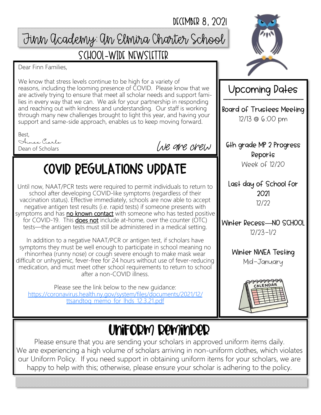#### DECEMBER 8, 2021

## Finn Academy: An Elmira Charter School

### School-Wide Newsletter

Dear Finn Families,

We know that stress levels continue to be high for a variety of reasons, including the looming presence of COVID. Please know that we are actively trying to ensure that meet all scholar needs and support families in every way that we can. We ask for your partnership in responding and reaching out with kindness and understanding. Our staff is working through many new challenges brought to light this year, and having your support and same-side approach, enables us to keep moving forward.

Best,

Aimee Ciarlo Dean of Scholars

We are crew

# COVID REGULATIONS UPDATE

Until now, NAAT/PCR tests were required to permit individuals to return to school after developing COVID-like symptoms (regardless of their vaccination status). Effective immediately, schools are now able to accept negative antigen test results (i.e. rapid tests) if someone presents with symptoms and has no known contact with someone who has tested positive for COVID-19. This **does not** include at-home, over the counter (OTC) tests—the antigen tests must still be administered in a medical setting.

In addition to a negative NAAT/PCR or antigen test, if scholars have symptoms they must be well enough to participate in school meaning no rhinorrhea (runny nose) or cough severe enough to make mask wear difficult or unhygienic, fever-free for 24 hours without use of fever-reducing medication, and must meet other school requirements to return to school after a non-COVID illness.

Please see the link below to the new guidance: [https://coronavirus.health.ny.gov/system/files/documents/2021/12/](https://coronavirus.health.ny.gov/system/files/documents/2021/12/ttsandtoq_memo_for_lhds_12.3.21.pdf) [ttsandtoq\\_memo\\_for\\_lhds\\_12.3.21.pdf](https://coronavirus.health.ny.gov/system/files/documents/2021/12/ttsandtoq_memo_for_lhds_12.3.21.pdf)



Upcoming Dates Board of Trustees Meeting 12/13 @ 6:00 pm

6th grade MP 2 Progress Reports Week of 12/20

Last day of School for 2021 12/22

Winter Recess**—**NO SCHOOL 12/23-1/2

Winter NWEA Testing

Mid-January



## Uniform reminder

Please ensure that you are sending your scholars in approved uniform items daily. We are experiencing a high volume of scholars arriving in non-uniform clothes, which violates our Uniform Policy. If you need support in obtaining uniform items for your scholars, we are happy to help with this; otherwise, please ensure your scholar is adhering to the policy.